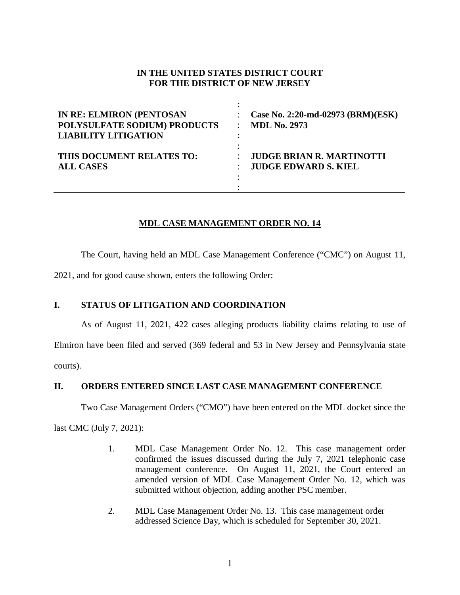# **IN THE UNITED STATES DISTRICT COURT FOR THE DISTRICT OF NEW JERSEY**

| <b>IN RE: ELMIRON (PENTOSAN</b><br>POLYSULFATE SODIUM) PRODUCTS<br><b>LIABILITY LITIGATION</b> | Case No. 2:20-md-02973 (BRM)(ESK)<br><b>MDL No. 2973</b> |
|------------------------------------------------------------------------------------------------|----------------------------------------------------------|
| THIS DOCUMENT RELATES TO:                                                                      | <b>JUDGE BRIAN R. MARTINOTTI</b>                         |
| <b>ALL CASES</b>                                                                               | <b>JUDGE EDWARD S. KIEL</b>                              |

# **MDL CASE MANAGEMENT ORDER NO. 14**

The Court, having held an MDL Case Management Conference ("CMC") on August 11,

2021, and for good cause shown, enters the following Order:

# **I. STATUS OF LITIGATION AND COORDINATION**

As of August 11, 2021, 422 cases alleging products liability claims relating to use of Elmiron have been filed and served (369 federal and 53 in New Jersey and Pennsylvania state courts).

**II. ORDERS ENTERED SINCE LAST CASE MANAGEMENT CONFERENCE**

Two Case Management Orders ("CMO") have been entered on the MDL docket since the

last CMC (July 7, 2021):

- 1. MDL Case Management Order No. 12. This case management order confirmed the issues discussed during the July 7, 2021 telephonic case management conference. On August 11, 2021, the Court entered an amended version of MDL Case Management Order No. 12, which was submitted without objection, adding another PSC member.
- 2. MDL Case Management Order No. 13. This case management order addressed Science Day, which is scheduled for September 30, 2021.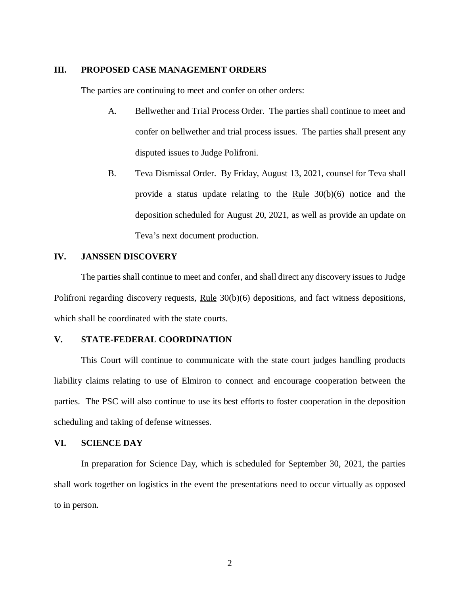#### **III. PROPOSED CASE MANAGEMENT ORDERS**

The parties are continuing to meet and confer on other orders:

- A. Bellwether and Trial Process Order. The parties shall continue to meet and confer on bellwether and trial process issues. The parties shall present any disputed issues to Judge Polifroni.
- B. Teva Dismissal Order. By Friday, August 13, 2021, counsel for Teva shall provide a status update relating to the  $Rule\ 30(b)(6)$  notice and the deposition scheduled for August 20, 2021, as well as provide an update on Teva's next document production.

## **IV. JANSSEN DISCOVERY**

The parties shall continue to meet and confer, and shall direct any discovery issues to Judge Polifroni regarding discovery requests, Rule 30(b)(6) depositions, and fact witness depositions, which shall be coordinated with the state courts.

### **V. STATE-FEDERAL COORDINATION**

This Court will continue to communicate with the state court judges handling products liability claims relating to use of Elmiron to connect and encourage cooperation between the parties. The PSC will also continue to use its best efforts to foster cooperation in the deposition scheduling and taking of defense witnesses.

### **VI. SCIENCE DAY**

In preparation for Science Day, which is scheduled for September 30, 2021, the parties shall work together on logistics in the event the presentations need to occur virtually as opposed to in person.